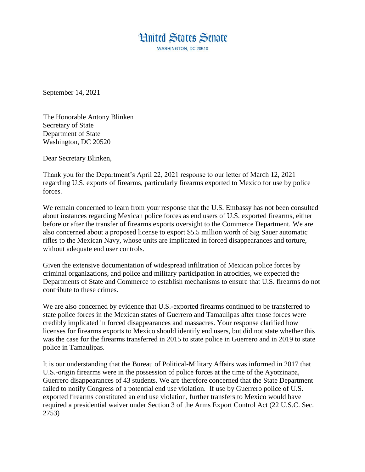

September 14, 2021

The Honorable Antony Blinken Secretary of State Department of State Washington, DC 20520

Dear Secretary Blinken,

Thank you for the Department's April 22, 2021 response to our letter of March 12, 2021 regarding U.S. exports of firearms, particularly firearms exported to Mexico for use by police forces.

We remain concerned to learn from your response that the U.S. Embassy has not been consulted about instances regarding Mexican police forces as end users of U.S. exported firearms, either before or after the transfer of firearms exports oversight to the Commerce Department. We are also concerned about a proposed license to export \$5.5 million worth of Sig Sauer automatic rifles to the Mexican Navy, whose units are implicated in forced disappearances and torture, without adequate end user controls.

Given the extensive documentation of widespread infiltration of Mexican police forces by criminal organizations, and police and military participation in atrocities, we expected the Departments of State and Commerce to establish mechanisms to ensure that U.S. firearms do not contribute to these crimes.

We are also concerned by evidence that U.S.-exported firearms continued to be transferred to state police forces in the Mexican states of Guerrero and Tamaulipas after those forces were credibly implicated in forced disappearances and massacres. Your response clarified how licenses for firearms exports to Mexico should identify end users, but did not state whether this was the case for the firearms transferred in 2015 to state police in Guerrero and in 2019 to state police in Tamaulipas.

It is our understanding that the Bureau of Political-Military Affairs was informed in 2017 that U.S.-origin firearms were in the possession of police forces at the time of the Ayotzinapa, Guerrero disappearances of 43 students. We are therefore concerned that the State Department failed to notify Congress of a potential end use violation. If use by Guerrero police of U.S. exported firearms constituted an end use violation, further transfers to Mexico would have required a presidential waiver under Section 3 of the Arms Export Control Act (22 U.S.C. Sec. 2753)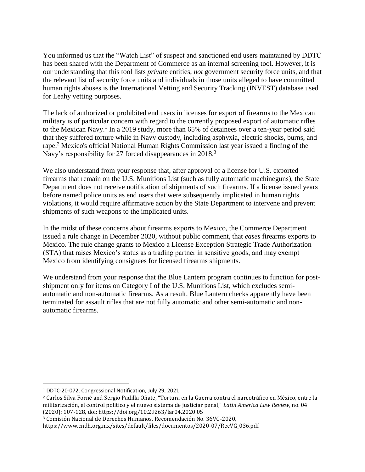You informed us that the "Watch List" of suspect and sanctioned end users maintained by DDTC has been shared with the Department of Commerce as an internal screening tool. However, it is our understanding that this tool lists *private* entities, *not* government security force units, and that the relevant list of security force units and individuals in those units alleged to have committed human rights abuses is the International Vetting and Security Tracking (INVEST) database used for Leahy vetting purposes.

The lack of authorized or prohibited end users in licenses for export of firearms to the Mexican military is of particular concern with regard to the currently proposed export of automatic rifles to the Mexican Navy.<sup>1</sup> In a 2019 study, more than  $65\%$  of detainees over a ten-year period said that they suffered torture while in Navy custody, including asphyxia, electric shocks, burns, and rape.<sup>2</sup> Mexico's official National Human Rights Commission last year issued a finding of the Navy's responsibility for 27 forced disappearances in 2018.<sup>3</sup>

We also understand from your response that, after approval of a license for U.S. exported firearms that remain on the U.S. Munitions List (such as fully automatic machineguns), the State Department does not receive notification of shipments of such firearms. If a license issued years before named police units as end users that were subsequently implicated in human rights violations, it would require affirmative action by the State Department to intervene and prevent shipments of such weapons to the implicated units.

In the midst of these concerns about firearms exports to Mexico, the Commerce Department issued a rule change in December 2020, without public comment, that *eases* firearms exports to Mexico. The rule change grants to Mexico a License Exception Strategic Trade Authorization (STA) that raises Mexico's status as a trading partner in sensitive goods, and may exempt Mexico from identifying consignees for licensed firearms shipments.

We understand from your response that the Blue Lantern program continues to function for postshipment only for items on Category I of the U.S. Munitions List, which excludes semiautomatic and non-automatic firearms. As a result, Blue Lantern checks apparently have been terminated for assault rifles that are not fully automatic and other semi-automatic and nonautomatic firearms.

 $\overline{a}$ 

<sup>1</sup> DDTC-20-072, Congressional Notification, July 29, 2021.

<sup>2</sup> Carlos Silva Forné and Sergio Padilla Oñate, "Tortura en la Guerra contra el narcotráfico en México, entre la militarización, el control politico y el nuevo sistema de justiciar penal," *Latin America Law Review*, no. 04 (2020): 107-128, doi: https://doi.org/10.29263/lar04.2020.05

<sup>3</sup> Comisión Nacional de Derechos Humanos, Recomendación No. 36VG-2020,

https://www.cndh.org.mx/sites/default/files/documentos/2020-07/RecVG\_036.pdf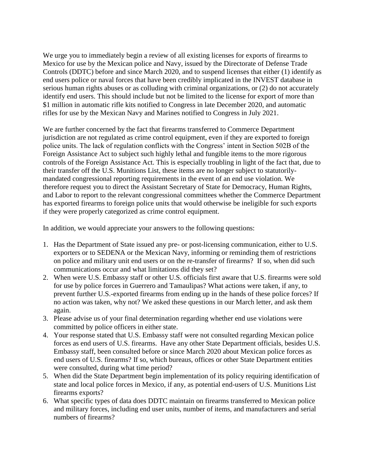We urge you to immediately begin a review of all existing licenses for exports of firearms to Mexico for use by the Mexican police and Navy, issued by the Directorate of Defense Trade Controls (DDTC) before and since March 2020, and to suspend licenses that either (1) identify as end users police or naval forces that have been credibly implicated in the INVEST database in serious human rights abuses or as colluding with criminal organizations, or (2) do not accurately identify end users. This should include but not be limited to the license for export of more than \$1 million in automatic rifle kits notified to Congress in late December 2020, and automatic rifles for use by the Mexican Navy and Marines notified to Congress in July 2021.

We are further concerned by the fact that firearms transferred to Commerce Department jurisdiction are not regulated as crime control equipment, even if they are exported to foreign police units. The lack of regulation conflicts with the Congress' intent in Section 502B of the Foreign Assistance Act to subject such highly lethal and fungible items to the more rigorous controls of the Foreign Assistance Act. This is especially troubling in light of the fact that, due to their transfer off the U.S. Munitions List, these items are no longer subject to statutorilymandated congressional reporting requirements in the event of an end use violation. We therefore request you to direct the Assistant Secretary of State for Democracy, Human Rights, and Labor to report to the relevant congressional committees whether the Commerce Department has exported firearms to foreign police units that would otherwise be ineligible for such exports if they were properly categorized as crime control equipment.

In addition, we would appreciate your answers to the following questions:

- 1. Has the Department of State issued any pre- or post-licensing communication, either to U.S. exporters or to SEDENA or the Mexican Navy, informing or reminding them of restrictions on police and military unit end users or on the re-transfer of firearms? If so, when did such communications occur and what limitations did they set?
- 2. When were U.S. Embassy staff or other U.S. officials first aware that U.S. firearms were sold for use by police forces in Guerrero and Tamaulipas? What actions were taken, if any, to prevent further U.S.-exported firearms from ending up in the hands of these police forces? If no action was taken, why not? We asked these questions in our March letter, and ask them again.
- 3. Please advise us of your final determination regarding whether end use violations were committed by police officers in either state.
- 4. Your response stated that U.S. Embassy staff were not consulted regarding Mexican police forces as end users of U.S. firearms. Have any other State Department officials, besides U.S. Embassy staff, been consulted before or since March 2020 about Mexican police forces as end users of U.S. firearms? If so, which bureaus, offices or other State Department entities were consulted, during what time period?
- 5. When did the State Department begin implementation of its policy requiring identification of state and local police forces in Mexico, if any, as potential end-users of U.S. Munitions List firearms exports?
- 6. What specific types of data does DDTC maintain on firearms transferred to Mexican police and military forces, including end user units, number of items, and manufacturers and serial numbers of firearms?